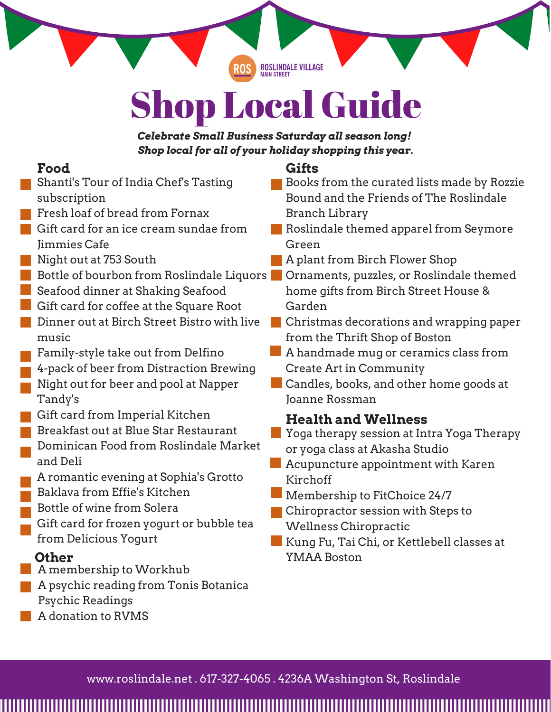**ROSLINDALE VILLAGE**<br>MAIN STREET

# Shop Local Guide

*Celebrate Small Business Saturday all season long! Shop local for all of your holiday shopping this year.*

# **Food**

- Shanti's Tour of India Chef's Tasting subscription
- **Fresh loaf of bread from Fornax**
- Gift card for an ice cream sundae from Jimmies Cafe
- Night out at 753 South
- Bottle of bourbon from Roslindale Liquors
- Seafood dinner at Shaking Seafood
- Gift card for coffee at the Square Root
- Dinner out at Birch Street Bistro with live music
- Family-style take out from Delfino
- 4-pack of beer from Distraction Brewing Night out for beer and pool at Napper Tandy's
- Gift card from Imperial Kitchen
- Breakfast out at Blue Star Restaurant Dominican Food from Roslindale Market and Deli
- A romantic evening at Sophia's Grotto Baklava from Effie's Kitchen
- Bottle of wine from Solera
- Gift card for frozen yogurt or bubble tea from Delicious Yogurt

- A membership to Workhub
- A psychic reading from Tonis Botanica Psychic Readings
- A donation to RVMS

# **Gifts**

- **Books from the curated lists made by Rozzie** Bound and the Friends of The Roslindale Branch Library
- Roslindale themed apparel from Seymore Green
- A plant from Birch Flower Shop
- Ornaments, puzzles, or Roslindale themed home gifts from Birch Street House & Garden
- Christmas decorations and wrapping paper from the Thrift Shop of Boston
- A handmade mug or ceramics class from Create Art in Community
- **Candles, books, and other home goods at** Joanne Rossman

# **Health and Wellness**

- **Yoga therapy session at Intra Yoga Therapy** or yoga class at Akasha Studio
- **Acupuncture appointment with Karen** Kirchoff
- Membership to FitChoice 24/7
- Chiropractor session with Steps to Wellness Chiropractic
- Kung Fu, Tai Chi, or Kettlebell classes at **Other** YMAA Boston

www.roslindale.net . 617-327-4065 . 4236A Washington St, Roslindale